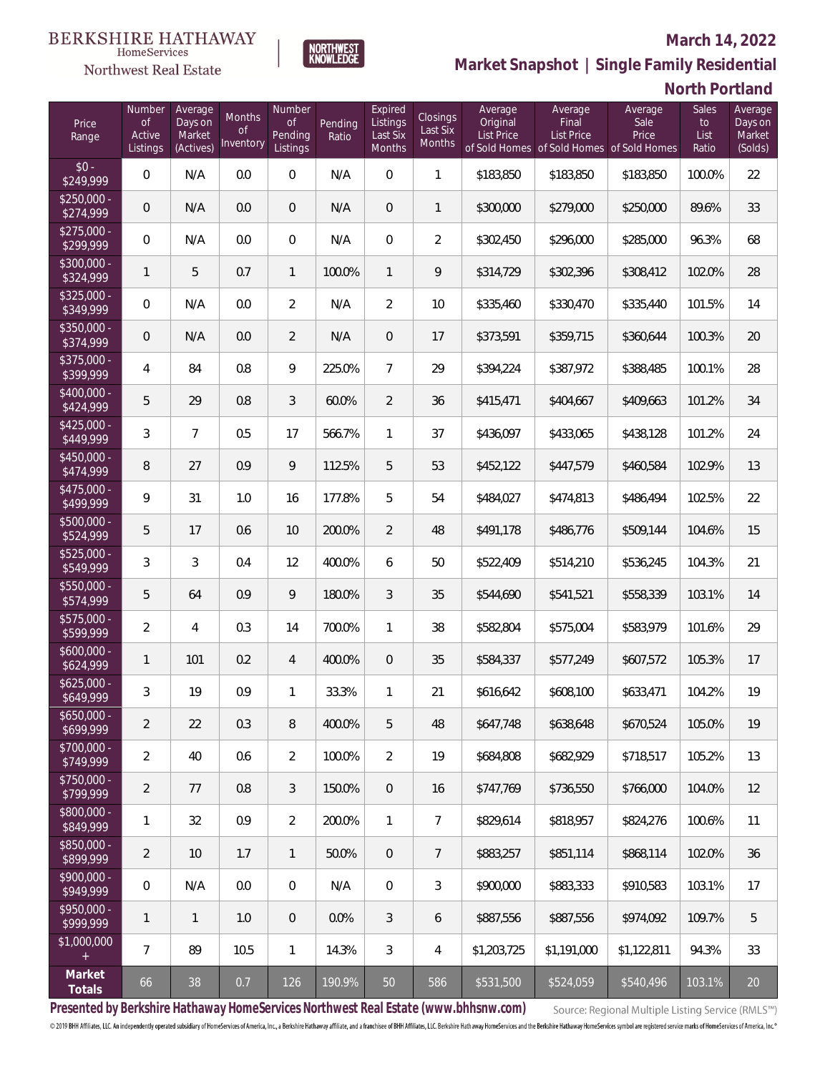# $\begin{array}{llll} \texttt{BERKSHIRE} \texttt{ HATHAWAY} \\ \texttt{\tiny HomeServices} \end{array}$

#### Northwest Real Estate

#### **March 14, 2022**



|  |  |  |  | North Portland |
|--|--|--|--|----------------|
|--|--|--|--|----------------|

| Price<br>Range            | Number<br>of<br>Active<br>Listings | Average<br>Days on<br>Market<br>(Actives) | Months<br><b>of</b><br>Inventory | Number<br>$\mathsf{of}$<br>Pending<br>Listings | Pending<br>Ratio | Expired<br>Listings<br>Last Six<br>Months | Closings<br>Last Six<br>Months | Average<br>Original<br><b>List Price</b> | Average<br>Final<br>List Price<br>of Sold Homes of Sold Homes of Sold Homes | Average<br>Sale<br>Price | <b>Sales</b><br>to<br>List<br>Ratio | Average<br>Days on<br>Market<br>(Solds) |
|---------------------------|------------------------------------|-------------------------------------------|----------------------------------|------------------------------------------------|------------------|-------------------------------------------|--------------------------------|------------------------------------------|-----------------------------------------------------------------------------|--------------------------|-------------------------------------|-----------------------------------------|
| $$0 -$<br>\$249,999       | $\mathsf{O}\xspace$                | N/A                                       | 0.0                              | $\mathbf 0$                                    | N/A              | $\mathbf 0$                               | $\mathbf{1}$                   | \$183,850                                | \$183,850                                                                   | \$183,850                | 100.0%                              | 22                                      |
| $$250,000 -$<br>\$274,999 | $\mathbf 0$                        | N/A                                       | 0.0                              | $\mathbf{0}$                                   | N/A              | $\overline{0}$                            | $\mathbf{1}$                   | \$300,000                                | \$279,000                                                                   | \$250,000                | 89.6%                               | 33                                      |
| $$275,000 -$<br>\$299,999 | $\mathsf{O}\xspace$                | N/A                                       | 0.0                              | $\mathbf 0$                                    | N/A              | $\overline{0}$                            | $\overline{2}$                 | \$302,450                                | \$296,000                                                                   | \$285,000                | 96.3%                               | 68                                      |
| $$300,000 -$<br>\$324,999 | $\mathbf{1}$                       | 5                                         | 0.7                              | $\mathbf{1}$                                   | 100.0%           | $\mathbf{1}$                              | 9                              | \$314,729                                | \$302,396                                                                   | \$308,412                | 102.0%                              | 28                                      |
| $$325,000 -$<br>\$349,999 | $\mathsf{O}\xspace$                | N/A                                       | 0.0                              | $\overline{2}$                                 | N/A              | $\overline{2}$                            | 10                             | \$335,460                                | \$330,470                                                                   | \$335,440                | 101.5%                              | 14                                      |
| $$350,000 -$<br>\$374,999 | $\mathbf 0$                        | N/A                                       | 0.0                              | $\overline{2}$                                 | N/A              | $\overline{0}$                            | 17                             | \$373,591                                | \$359,715                                                                   | \$360,644                | 100.3%                              | 20                                      |
| $$375,000 -$<br>\$399,999 | 4                                  | 84                                        | 0.8                              | 9                                              | 225.0%           | $\overline{7}$                            | 29                             | \$394,224                                | \$387,972                                                                   | \$388,485                | 100.1%                              | 28                                      |
| $$400,000 -$<br>\$424,999 | 5                                  | 29                                        | 0.8                              | $\mathfrak{Z}$                                 | 60.0%            | $\overline{2}$                            | 36                             | \$415,471                                | \$404,667                                                                   | \$409,663                | 101.2%                              | 34                                      |
| $$425,000 -$<br>\$449,999 | 3                                  | $\overline{7}$                            | 0.5                              | 17                                             | 566.7%           | $\mathbf{1}$                              | 37                             | \$436,097                                | \$433,065                                                                   | \$438,128                | 101.2%                              | 24                                      |
| $$450,000 -$<br>\$474,999 | 8                                  | 27                                        | 0.9                              | 9                                              | 112.5%           | 5                                         | 53                             | \$452,122                                | \$447,579                                                                   | \$460,584                | 102.9%                              | 13                                      |
| $$475,000 -$<br>\$499,999 | 9                                  | 31                                        | 1.0                              | 16                                             | 177.8%           | 5                                         | 54                             | \$484,027                                | \$474,813                                                                   | \$486,494                | 102.5%                              | 22                                      |
| $$500,000 -$<br>\$524,999 | 5                                  | 17                                        | 0.6                              | 10                                             | 200.0%           | $\overline{2}$                            | 48                             | \$491,178                                | \$486,776                                                                   | \$509,144                | 104.6%                              | 15                                      |
| $$525,000 -$<br>\$549,999 | 3                                  | 3                                         | 0.4                              | 12                                             | 400.0%           | 6                                         | 50                             | \$522,409                                | \$514,210                                                                   | \$536,245                | 104.3%                              | 21                                      |
| $$550,000 -$<br>\$574,999 | 5                                  | 64                                        | 0.9                              | 9                                              | 180.0%           | $\mathfrak{Z}$                            | 35                             | \$544,690                                | \$541,521                                                                   | \$558,339                | 103.1%                              | 14                                      |
| $$575,000 -$<br>\$599,999 | $\overline{2}$                     | 4                                         | 0.3                              | 14                                             | 700.0%           | $\mathbf{1}$                              | 38                             | \$582,804                                | \$575,004                                                                   | \$583,979                | 101.6%                              | 29                                      |
| $$600,000 -$<br>\$624,999 | 1                                  | 101                                       | 0.2                              | 4                                              | 400.0%           | $\overline{0}$                            | 35                             | \$584,337                                | \$577,249                                                                   | \$607,572                | 105.3%                              | 17                                      |
| $$625,000 -$<br>\$649,999 | 3                                  | 19                                        | 0.9                              | $\mathbf{1}$                                   | 33.3%            | $\mathbf{1}$                              | 21                             | \$616,642                                | \$608,100                                                                   | \$633,471                | 104.2%                              | 19                                      |
| $$650,000 -$<br>\$699,999 | 2                                  | 22                                        | 0.3                              | 8                                              | 400.0%           | 5                                         | 48                             | \$647,748                                | \$638,648                                                                   | \$670,524                | 105.0%                              | 19                                      |
| \$700,000 -<br>\$749,999  | $\overline{2}$                     | 40                                        | 0.6                              | $\overline{2}$                                 | 100.0%           | $\overline{2}$                            | 19                             | \$684,808                                | \$682,929                                                                   | \$718,517                | 105.2%                              | 13                                      |
| \$750,000 -<br>\$799,999  | 2                                  | 77                                        | $0.8\,$                          | 3                                              | 150.0%           | $\overline{0}$                            | 16                             | \$747,769                                | \$736,550                                                                   | \$766,000                | 104.0%                              | 12                                      |
| \$800,000 -<br>\$849,999  | 1                                  | 32                                        | 0.9                              | $\overline{2}$                                 | 200.0%           | $\mathbf{1}$                              | 7                              | \$829,614                                | \$818,957                                                                   | \$824,276                | 100.6%                              | 11                                      |
| \$850,000 -<br>\$899,999  | 2                                  | 10                                        | 1.7                              | $\mathbf{1}$                                   | 50.0%            | $\overline{0}$                            | $7\phantom{.}$                 | \$883,257                                | \$851,114                                                                   | \$868,114                | 102.0%                              | 36                                      |
| \$900,000 -<br>\$949,999  | 0                                  | N/A                                       | $0.0\,$                          | $\mathbf 0$                                    | N/A              | $\mathbf{0}$                              | 3                              | \$900,000                                | \$883,333                                                                   | \$910,583                | 103.1%                              | 17                                      |
| \$950,000 -<br>\$999,999  | 1                                  | $\mathbf{1}$                              | 1.0                              | $\mathbf{0}$                                   | 0.0%             | 3                                         | 6                              | \$887,556                                | \$887,556                                                                   | \$974,092                | 109.7%                              | 5                                       |
| \$1,000,000<br>$^{+}$     | 7                                  | 89                                        | 10.5                             | $\mathbf{1}$                                   | 14.3%            | 3                                         | 4                              | \$1,203,725                              | \$1,191,000                                                                 | \$1,122,811              | 94.3%                               | 33                                      |
| Market<br>Totals          | 66                                 | $38\,$                                    | $0.7\,$                          | 126                                            | 190.9%           | 50                                        | 586                            | \$531,500                                | \$524,059                                                                   | \$540,496                | 103.1%                              | 20                                      |

NORTHWEST<br>KNOWLFDGF

**Presented by Berkshire Hathaway HomeServices Northwest Real Estate (www.bhhsnw.com)**

Source: Regional Multiple Listing Service (RMLS™)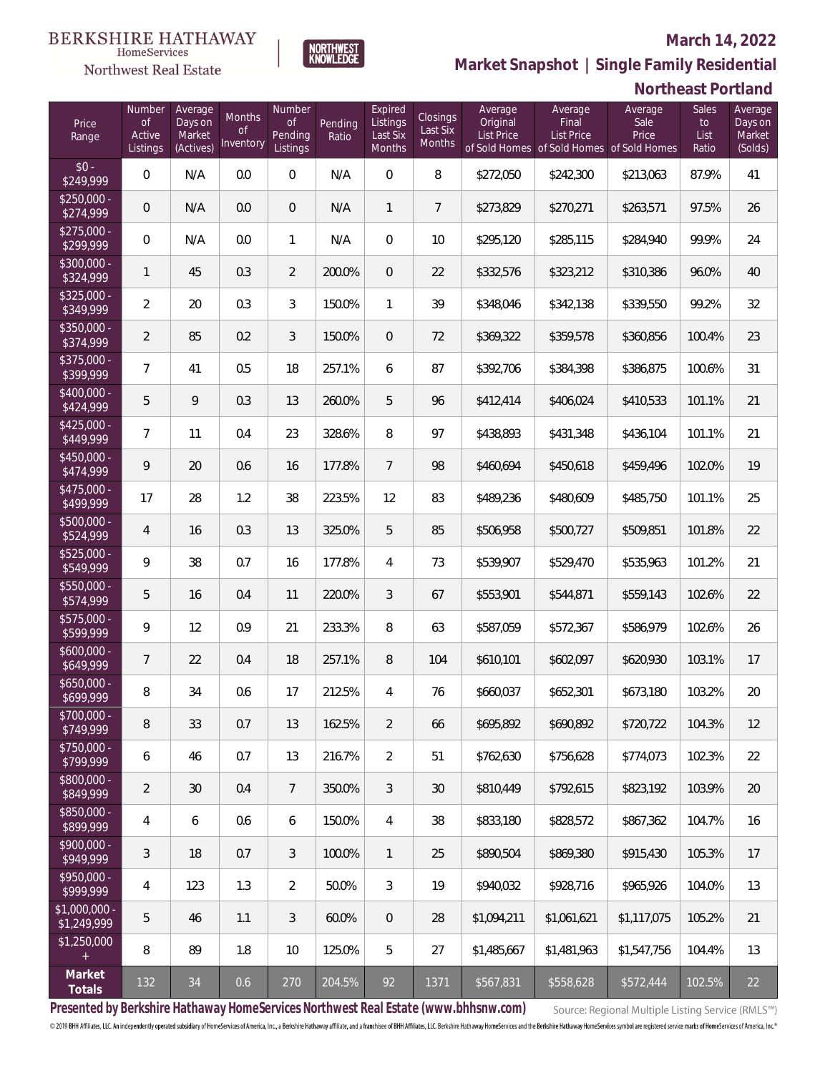# $\begin{array}{ll} \textrm{BERKSHIRE HATHAWAY} \\ \hspace*{0.2cm} \textcolor{red}{\textbf{Home} \textbf{Service}} \end{array}$

#### Northwest Real Estate

#### **March 14, 2022**



|                               |                                           |                                           |                                  |                                            |                  |                                           |                                       |                                          |                                              | 1 VU 11 1000 1                                                        |                              |                                         |
|-------------------------------|-------------------------------------------|-------------------------------------------|----------------------------------|--------------------------------------------|------------------|-------------------------------------------|---------------------------------------|------------------------------------------|----------------------------------------------|-----------------------------------------------------------------------|------------------------------|-----------------------------------------|
| Price<br>Range                | Number<br><b>of</b><br>Active<br>Listings | Average<br>Days on<br>Market<br>(Actives) | Months<br><b>of</b><br>Inventory | Number<br><b>of</b><br>Pending<br>Listings | Pending<br>Ratio | Expired<br>Listings<br>Last Six<br>Months | Closings<br>Last Six<br><b>Months</b> | Average<br>Original<br><b>List Price</b> | Average<br><b>Final</b><br><b>List Price</b> | Average<br>Sale<br>Price<br>of Sold Homes of Sold Homes of Sold Homes | Sales<br>to<br>List<br>Ratio | Average<br>Days on<br>Market<br>(Solds) |
| $$0 -$<br>\$249,999           | 0                                         | N/A                                       | 0.0                              | $\boldsymbol{0}$                           | N/A              | $\mathbf 0$                               | 8                                     | \$272,050                                | \$242,300                                    | \$213,063                                                             | 87.9%                        | 41                                      |
| $$250,000 -$<br>\$274,999     | $\mathsf{O}\xspace$                       | N/A                                       | 0.0                              | $\overline{0}$                             | N/A              | $\mathbf{1}$                              | 7                                     | \$273,829                                | \$270,271                                    | \$263,571                                                             | 97.5%                        | 26                                      |
| $$275,000 -$<br>\$299,999     | $\mathbf 0$                               | N/A                                       | 0.0                              | 1                                          | N/A              | $\mathbf 0$                               | 10                                    | \$295,120                                | \$285,115                                    | \$284,940                                                             | 99.9%                        | 24                                      |
| $$300,000 -$<br>\$324,999     | 1                                         | 45                                        | 0.3                              | $\overline{2}$                             | 200.0%           | $\mathbf 0$                               | 22                                    | \$332,576                                | \$323,212                                    | \$310,386                                                             | 96.0%                        | 40                                      |
| $$325,000 -$<br>\$349,999     | $\overline{2}$                            | 20                                        | 0.3                              | 3                                          | 150.0%           | $\mathbf{1}$                              | 39                                    | \$348,046                                | \$342,138                                    | \$339,550                                                             | 99.2%                        | 32                                      |
| $$350,000 -$<br>\$374,999     | $\overline{a}$                            | 85                                        | 0.2                              | 3                                          | 150.0%           | $\mathbf 0$                               | 72                                    | \$369,322                                | \$359,578                                    | \$360,856                                                             | 100.4%                       | 23                                      |
| \$375,000 -<br>\$399,999      | $\overline{7}$                            | 41                                        | 0.5                              | 18                                         | 257.1%           | 6                                         | 87                                    | \$392,706                                | \$384,398                                    | \$386,875                                                             | 100.6%                       | 31                                      |
| $$400,000 -$<br>\$424,999     | 5                                         | 9                                         | 0.3                              | 13                                         | 260.0%           | 5                                         | 96                                    | \$412,414                                | \$406,024                                    | \$410,533                                                             | 101.1%                       | 21                                      |
| $$425,000 -$<br>\$449,999     | 7                                         | 11                                        | 0.4                              | 23                                         | 328.6%           | 8                                         | 97                                    | \$438,893                                | \$431,348                                    | \$436,104                                                             | 101.1%                       | 21                                      |
| $$450,000 -$<br>\$474,999     | 9                                         | 20                                        | 0.6                              | 16                                         | 177.8%           | $\overline{7}$                            | 98                                    | \$460,694                                | \$450,618                                    | \$459,496                                                             | 102.0%                       | 19                                      |
| $$475,000 -$<br>\$499,999     | 17                                        | 28                                        | 1.2                              | 38                                         | 223.5%           | 12                                        | 83                                    | \$489,236                                | \$480,609                                    | \$485,750                                                             | 101.1%                       | 25                                      |
| \$500,000 -<br>\$524,999      | $\overline{4}$                            | 16                                        | 0.3                              | 13                                         | 325.0%           | 5                                         | 85                                    | \$506,958                                | \$500,727                                    | \$509,851                                                             | 101.8%                       | 22                                      |
| $$525,000 -$<br>\$549,999     | 9                                         | 38                                        | 0.7                              | 16                                         | 177.8%           | 4                                         | 73                                    | \$539,907                                | \$529,470                                    | \$535,963                                                             | 101.2%                       | 21                                      |
| \$550,000 -<br>\$574,999      | 5                                         | 16                                        | 0.4                              | 11                                         | 220.0%           | 3                                         | 67                                    | \$553,901                                | \$544,871                                    | \$559,143                                                             | 102.6%                       | 22                                      |
| \$575,000 -<br>\$599,999      | 9                                         | 12                                        | 0.9                              | 21                                         | 233.3%           | $\, 8$                                    | 63                                    | \$587,059                                | \$572,367                                    | \$586,979                                                             | 102.6%                       | 26                                      |
| $$600,000 -$<br>\$649,999     | 7                                         | 22                                        | 0.4                              | 18                                         | 257.1%           | $\, 8$                                    | 104                                   | \$610,101                                | \$602,097                                    | \$620,930                                                             | 103.1%                       | 17                                      |
| $$650,000 -$<br>\$699,999     | 8                                         | 34                                        | 0.6                              | 17                                         | 212.5%           | 4                                         | 76                                    | \$660,037                                | \$652,301                                    | \$673,180                                                             | 103.2%                       | 20                                      |
| \$700,000 -<br>\$749,999      | 8                                         | 33                                        | 0.7                              | 13                                         | 162.5%           | $\overline{2}$                            | 66                                    | \$695,892                                | \$690,892                                    | \$720,722                                                             | 104.3%                       | 12                                      |
| \$750,000 -<br>\$799,999      | 6                                         | 46                                        | 0.7                              | 13                                         | 216.7%           | $\overline{2}$                            | 51                                    | \$762,630                                | \$756,628                                    | \$774,073                                                             | 102.3%                       | 22                                      |
| \$800,000 -<br>\$849,999      | $\overline{2}$                            | 30                                        | 0.4                              | $7\overline{ }$                            | 350.0%           | 3                                         | 30                                    | \$810,449                                | \$792,615                                    | \$823,192                                                             | 103.9%                       | 20                                      |
| \$850,000 -<br>\$899,999      | 4                                         | 6                                         | 0.6                              | 6                                          | 150.0%           | $\overline{4}$                            | 38                                    | \$833,180                                | \$828,572                                    | \$867,362                                                             | 104.7%                       | 16                                      |
| $$900.000 -$<br>\$949,999     | 3                                         | 18                                        | 0.7                              | $\mathfrak{Z}$                             | 100.0%           | $\mathbf{1}$                              | 25                                    | \$890,504                                | \$869,380                                    | \$915,430                                                             | 105.3%                       | 17                                      |
| $$950.000 -$<br>\$999,999     | 4                                         | 123                                       | 1.3                              | $\overline{2}$                             | 50.0%            | 3                                         | 19                                    | \$940,032                                | \$928,716                                    | \$965,926                                                             | 104.0%                       | 13                                      |
| $$1,000,000$ -<br>\$1,249,999 | 5                                         | 46                                        | 1.1                              | 3                                          | 60.0%            | $\overline{0}$                            | 28                                    | \$1,094,211                              | \$1,061,621                                  | \$1,117,075                                                           | 105.2%                       | 21                                      |
| \$1,250,000<br>$^{+}$         | 8                                         | 89                                        | 1.8                              | 10                                         | 125.0%           | 5                                         | 27                                    | \$1,485,667                              | \$1,481,963                                  | \$1,547,756                                                           | 104.4%                       | 13                                      |
| Market<br>Totals              | 132                                       | 34                                        | 0.6                              | 270                                        | 204.5%           | 92                                        | 1371                                  | \$567,831                                | \$558,628                                    | \$572,444                                                             | 102.5%                       | 22                                      |

NORTHWEST<br>KNOWLFDGF

**Presented by Berkshire Hathaway HomeServices Northwest Real Estate (www.bhhsnw.com)**

Source: Regional Multiple Listing Service (RMLS™)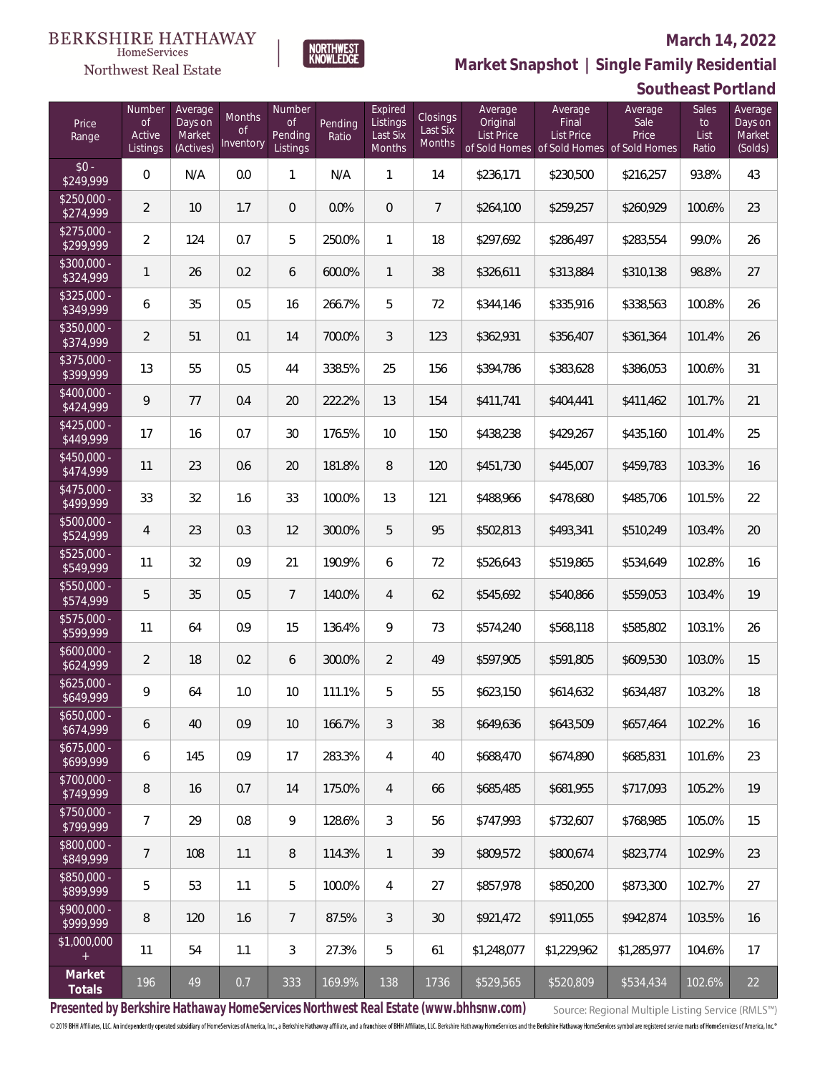#### **March 14, 2022**

**Southeast Portland**



**Market Snapshot | Single Family Residential**

HomeServices Northwest Real Estate

| Price<br>Range            | Number<br>$\circ$ f<br>Active<br>Listings | Average<br>Days on<br>Market<br>(Actives) | <b>Months</b><br><b>of</b><br>Inventory | Number<br><b>of</b><br>Pending<br>Listings | Pending<br>Ratio | Expired<br>Listings<br>Last Six<br>Months | <b>Closings</b><br>Last Six<br>Months | Average<br>Original<br><b>List Price</b> | Average<br>Final<br><b>List Price</b><br>of Sold Homes of Sold Homes of Sold Homes | Average<br>Sale<br>Price | <b>Sales</b><br>to<br>List<br>Ratio | Average<br>Days on<br>Market<br>(Solds) |
|---------------------------|-------------------------------------------|-------------------------------------------|-----------------------------------------|--------------------------------------------|------------------|-------------------------------------------|---------------------------------------|------------------------------------------|------------------------------------------------------------------------------------|--------------------------|-------------------------------------|-----------------------------------------|
| $$0 -$<br>\$249,999       | $\overline{0}$                            | N/A                                       | 0.0                                     | 1                                          | N/A              | 1                                         | 14                                    | \$236,171                                | \$230,500                                                                          | \$216,257                | 93.8%                               | 43                                      |
| $$250,000 -$<br>\$274,999 | $\overline{2}$                            | 10                                        | 1.7                                     | $\mathbf 0$                                | 0.0%             | $\overline{0}$                            | $\overline{7}$                        | \$264,100                                | \$259,257                                                                          | \$260,929                | 100.6%                              | 23                                      |
| $$275,000 -$<br>\$299,999 | $\overline{2}$                            | 124                                       | 0.7                                     | 5                                          | 250.0%           | $\mathbf{1}$                              | 18                                    | \$297,692                                | \$286,497                                                                          | \$283,554                | 99.0%                               | 26                                      |
| $$300,000 -$<br>\$324,999 | $\mathbf{1}$                              | 26                                        | 0.2                                     | 6                                          | 600.0%           | $\mathbf{1}$                              | 38                                    | \$326,611                                | \$313,884                                                                          | \$310,138                | 98.8%                               | 27                                      |
| $$325,000 -$<br>\$349,999 | 6                                         | 35                                        | 0.5                                     | 16                                         | 266.7%           | 5                                         | 72                                    | \$344,146                                | \$335,916                                                                          | \$338,563                | 100.8%                              | 26                                      |
| $$350,000 -$<br>\$374,999 | $\overline{2}$                            | 51                                        | 0.1                                     | 14                                         | 700.0%           | 3                                         | 123                                   | \$362,931                                | \$356,407                                                                          | \$361,364                | 101.4%                              | 26                                      |
| $$375,000 -$<br>\$399,999 | 13                                        | 55                                        | 0.5                                     | 44                                         | 338.5%           | 25                                        | 156                                   | \$394,786                                | \$383,628                                                                          | \$386,053                | 100.6%                              | 31                                      |
| $$400,000 -$<br>\$424,999 | 9                                         | 77                                        | 0.4                                     | 20                                         | 222.2%           | 13                                        | 154                                   | \$411,741                                | \$404,441                                                                          | \$411,462                | 101.7%                              | 21                                      |
| $$425,000 -$<br>\$449,999 | 17                                        | 16                                        | 0.7                                     | 30                                         | 176.5%           | 10                                        | 150                                   | \$438,238                                | \$429,267                                                                          | \$435,160                | 101.4%                              | 25                                      |
| $$450,000 -$<br>\$474,999 | 11                                        | 23                                        | 0.6                                     | 20                                         | 181.8%           | 8                                         | 120                                   | \$451,730                                | \$445,007                                                                          | \$459,783                | 103.3%                              | 16                                      |
| $$475,000 -$<br>\$499,999 | 33                                        | 32                                        | 1.6                                     | 33                                         | 100.0%           | 13                                        | 121                                   | \$488,966                                | \$478,680                                                                          | \$485,706                | 101.5%                              | 22                                      |
| $$500,000 -$<br>\$524,999 | $\overline{4}$                            | 23                                        | 0.3                                     | 12                                         | 300.0%           | 5                                         | 95                                    | \$502,813                                | \$493,341                                                                          | \$510,249                | 103.4%                              | 20                                      |
| $$525,000 -$<br>\$549,999 | 11                                        | 32                                        | 0.9                                     | 21                                         | 190.9%           | 6                                         | 72                                    | \$526,643                                | \$519,865                                                                          | \$534,649                | 102.8%                              | 16                                      |
| \$550,000 -<br>\$574,999  | 5                                         | 35                                        | 0.5                                     | $7\overline{ }$                            | 140.0%           | $\overline{4}$                            | 62                                    | \$545,692                                | \$540,866                                                                          | \$559,053                | 103.4%                              | 19                                      |
| $$575,000 -$<br>\$599,999 | 11                                        | 64                                        | 0.9                                     | 15                                         | 136.4%           | 9                                         | 73                                    | \$574,240                                | \$568,118                                                                          | \$585,802                | 103.1%                              | 26                                      |
| $$600,000 -$<br>\$624,999 | $\overline{2}$                            | 18                                        | 0.2                                     | 6                                          | 300.0%           | $\overline{2}$                            | 49                                    | \$597,905                                | \$591,805                                                                          | \$609,530                | 103.0%                              | 15                                      |
| $$625,000 -$<br>\$649,999 | 9                                         | 64                                        | 1.0                                     | 10                                         | 111.1%           | 5                                         | 55                                    | \$623,150                                | \$614,632                                                                          | \$634,487                | 103.2%                              | 18                                      |
| $$650,000 -$<br>\$674,999 | 6                                         | 40                                        | 0.9                                     | 10                                         | 166.7%           | 3                                         | 38                                    | \$649,636                                | \$643,509                                                                          | \$657,464                | 102.2%                              | 16                                      |
| $$675,000 -$<br>\$699,999 | 6                                         | 145                                       | 0.9                                     | 17                                         | 283.3%           | 4                                         | 40                                    | \$688,470                                | \$674,890                                                                          | \$685,831                | 101.6%                              | 23                                      |
| $$700,000 -$<br>\$749,999 | 8                                         | 16                                        | 0.7                                     | 14                                         | 175.0%           | 4                                         | 66                                    | \$685,485                                | \$681,955                                                                          | \$717,093                | 105.2%                              | 19                                      |
| \$750,000 -<br>\$799,999  | 7                                         | 29                                        | 0.8                                     | 9                                          | 128.6%           | 3                                         | 56                                    | \$747,993                                | \$732,607                                                                          | \$768,985                | 105.0%                              | 15                                      |
| \$800,000 -<br>\$849,999  | 7                                         | 108                                       | 1.1                                     | 8                                          | 114.3%           | 1                                         | 39                                    | \$809,572                                | \$800,674                                                                          | \$823,774                | 102.9%                              | 23                                      |
| \$850,000 -<br>\$899,999  | $\mathbf 5$                               | 53                                        | 1.1                                     | 5                                          | 100.0%           | $\overline{4}$                            | 27                                    | \$857,978                                | \$850,200                                                                          | \$873,300                | 102.7%                              | 27                                      |
| \$900,000 -<br>\$999,999  | 8                                         | 120                                       | 1.6                                     | $\overline{7}$                             | 87.5%            | 3                                         | 30                                    | \$921,472                                | \$911,055                                                                          | \$942,874                | 103.5%                              | 16                                      |
| \$1,000,000<br>$^{+}$     | 11                                        | 54                                        | 1.1                                     | $\mathfrak{Z}$                             | 27.3%            | 5                                         | 61                                    | \$1,248,077                              | \$1,229,962                                                                        | \$1,285,977              | 104.6%                              | 17                                      |
| Market<br>Totals          | 196                                       | 49                                        | 0.7                                     | 333                                        | 169.9%           | 138                                       | 1736                                  | \$529,565                                | \$520,809                                                                          | \$534,434                | 102.6%                              | 22                                      |

**Presented by Berkshire Hathaway HomeServices Northwest Real Estate (www.bhhsnw.com)**

Source: Regional Multiple Listing Service (RMLS™)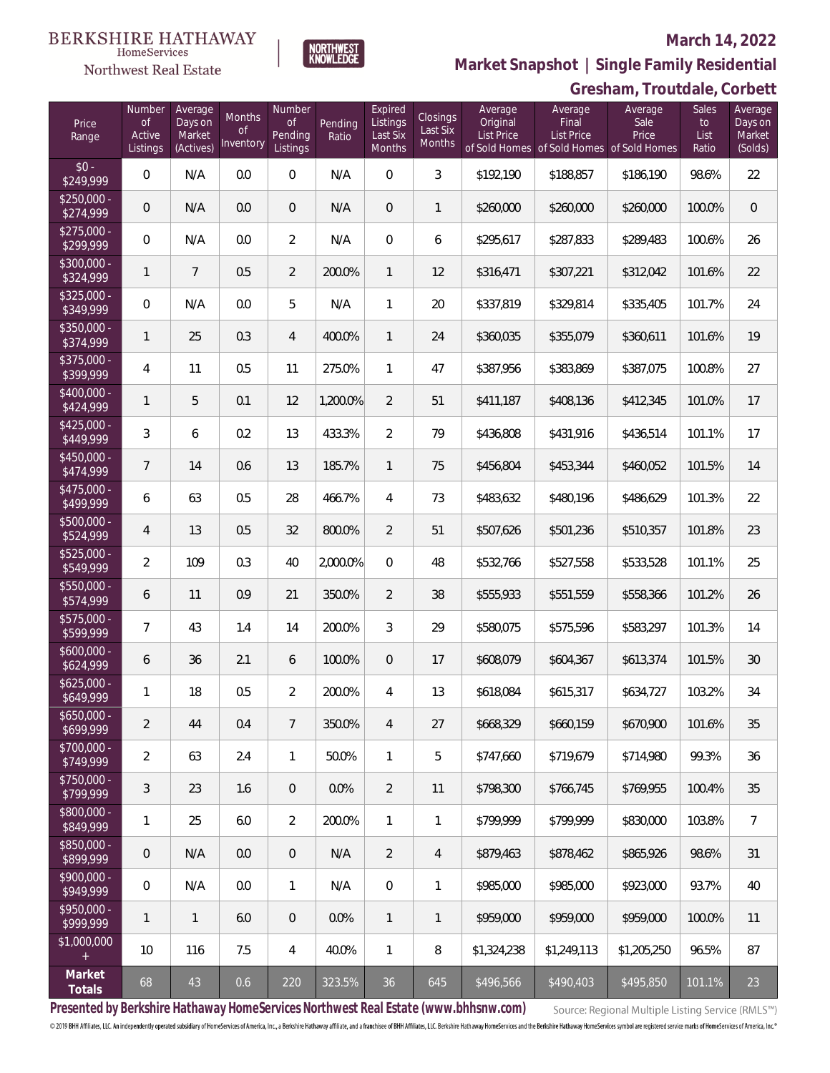# $\begin{array}{ll} \textrm{BERKSHIRE HATHAWAY} \\ \hspace*{0.2cm} \textcolor{red}{\textbf{Home} \textbf{Service}} \end{array}$

### Northwest Real Estate

#### **March 14, 2022**



### **Gresham, Troutdale, Corbett Market Snapshot | Single Family Residential**

| Price<br>Range            | Number<br><b>of</b><br>Active<br>Listings | Average<br>Days on<br>Market<br>(Actives) | Months<br>0f<br><b>Inventory</b> | Number<br>Οf<br>Pending<br>Listings | Pending<br>Ratio | Expired<br>Listings<br>Last Six<br>Months | <b>Closings</b><br>Last Six<br><b>Months</b> | Average<br>Original<br>List Price | Average<br>Final<br><b>List Price</b><br>of Sold Homes of Sold Homes of Sold Homes | Average<br>Sale<br>Price | Sales<br>to<br>List<br>Ratio | Average<br>Days on<br>Market<br>(Solds) |
|---------------------------|-------------------------------------------|-------------------------------------------|----------------------------------|-------------------------------------|------------------|-------------------------------------------|----------------------------------------------|-----------------------------------|------------------------------------------------------------------------------------|--------------------------|------------------------------|-----------------------------------------|
| $$0 -$<br>\$249,999       | 0                                         | N/A                                       | 0.0                              | $\overline{0}$                      | N/A              | $\overline{0}$                            | 3                                            | \$192,190                         | \$188,857                                                                          | \$186,190                | 98.6%                        | 22                                      |
| $$250.000 -$<br>\$274,999 | 0                                         | N/A                                       | 0.0                              | $\overline{0}$                      | N/A              | $\overline{0}$                            | 1                                            | \$260,000                         | \$260,000                                                                          | \$260,000                | 100.0%                       | $\overline{0}$                          |
| $$275.000 -$<br>\$299,999 | 0                                         | N/A                                       | 0.0                              | $\overline{2}$                      | N/A              | $\overline{0}$                            | 6                                            | \$295,617                         | \$287,833                                                                          | \$289,483                | 100.6%                       | 26                                      |
| $$300,000 -$<br>\$324,999 | 1                                         | $\overline{7}$                            | 0.5                              | $\overline{2}$                      | 200.0%           | $\mathbf{1}$                              | 12                                           | \$316,471                         | \$307,221                                                                          | \$312,042                | 101.6%                       | 22                                      |
| \$325,000 -<br>\$349,999  | $\overline{0}$                            | N/A                                       | 0.0                              | 5                                   | N/A              | $\mathbf{1}$                              | 20                                           | \$337,819                         | \$329,814                                                                          | \$335,405                | 101.7%                       | 24                                      |
| $$350,000 -$<br>\$374,999 | 1                                         | 25                                        | 0.3                              | $\overline{4}$                      | 400.0%           | $\mathbf{1}$                              | 24                                           | \$360,035                         | \$355,079                                                                          | \$360,611                | 101.6%                       | 19                                      |
| \$375,000 -<br>\$399,999  | 4                                         | 11                                        | 0.5                              | 11                                  | 275.0%           | $\mathbf{1}$                              | 47                                           | \$387,956                         | \$383,869                                                                          | \$387,075                | 100.8%                       | 27                                      |
| \$400,000 -<br>\$424,999  | 1                                         | 5                                         | 0.1                              | 12                                  | 1,200.0%         | $\overline{2}$                            | 51                                           | \$411,187                         | \$408,136                                                                          | \$412,345                | 101.0%                       | 17                                      |
| $$425,000 -$<br>\$449,999 | 3                                         | 6                                         | 0.2                              | 13                                  | 433.3%           | $\overline{2}$                            | 79                                           | \$436,808                         | \$431,916                                                                          | \$436,514                | 101.1%                       | 17                                      |
| \$450,000 -<br>\$474,999  | $\overline{7}$                            | 14                                        | 0.6                              | 13                                  | 185.7%           | $\mathbf{1}$                              | 75                                           | \$456,804                         | \$453,344                                                                          | \$460,052                | 101.5%                       | 14                                      |
| \$475,000 -<br>\$499,999  | 6                                         | 63                                        | 0.5                              | 28                                  | 466.7%           | 4                                         | 73                                           | \$483,632                         | \$480,196                                                                          | \$486,629                | 101.3%                       | 22                                      |
| \$500,000 -<br>\$524,999  | 4                                         | 13                                        | 0.5                              | 32                                  | 800.0%           | $\overline{2}$                            | 51                                           | \$507,626                         | \$501,236                                                                          | \$510,357                | 101.8%                       | 23                                      |
| $$525,000 -$<br>\$549,999 | $\overline{2}$                            | 109                                       | 0.3                              | 40                                  | 2,000.0%         | $\overline{0}$                            | 48                                           | \$532,766                         | \$527,558                                                                          | \$533,528                | 101.1%                       | 25                                      |
| \$550,000 -<br>\$574,999  | 6                                         | 11                                        | 0.9                              | 21                                  | 350.0%           | $\overline{2}$                            | 38                                           | \$555,933                         | \$551,559                                                                          | \$558,366                | 101.2%                       | 26                                      |
| \$575,000 -<br>\$599,999  | $\overline{7}$                            | 43                                        | 1.4                              | 14                                  | 200.0%           | 3                                         | 29                                           | \$580,075                         | \$575,596                                                                          | \$583,297                | 101.3%                       | 14                                      |
| \$600,000 -<br>\$624,999  | 6                                         | 36                                        | 2.1                              | 6                                   | 100.0%           | $\overline{0}$                            | 17                                           | \$608,079                         | \$604,367                                                                          | \$613,374                | 101.5%                       | 30                                      |
| $$625,000 -$<br>\$649,999 | 1                                         | 18                                        | 0.5                              | $\overline{2}$                      | 200.0%           | 4                                         | 13                                           | \$618,084                         | \$615,317                                                                          | \$634,727                | 103.2%                       | 34                                      |
| $$650,000 -$<br>\$699,999 | $\overline{2}$                            | 44                                        | 0.4                              | $\overline{7}$                      | 350.0%           | $\overline{4}$                            | 27                                           | \$668,329                         | \$660,159                                                                          | \$670,900                | 101.6%                       | 35                                      |
| \$700,000 -<br>\$749,999  | $\overline{2}$                            | 63                                        | 2.4                              | $\mathbf{1}$                        | 50.0%            | $\mathbf{1}$                              | 5                                            | \$747,660                         | \$719,679                                                                          | \$714,980                | 99.3%                        | 36                                      |
| \$750,000 -<br>\$799,999  | 3                                         | 23                                        | 1.6                              | $\overline{0}$                      | 0.0%             | $\overline{2}$                            | 11                                           | \$798,300                         | \$766,745                                                                          | \$769,955                | 100.4%                       | 35                                      |
| \$800,000 -<br>\$849,999  | 1                                         | 25                                        | 6.0                              | $\overline{2}$                      | 200.0%           | $\mathbf{1}$                              | 1                                            | \$799,999                         | \$799,999                                                                          | \$830,000                | 103.8%                       | $\overline{7}$                          |
| \$850,000 -<br>\$899,999  | $\mathbf 0$                               | N/A                                       | 0.0                              | $\overline{0}$                      | N/A              | $\overline{2}$                            | 4                                            | \$879,463                         | \$878,462                                                                          | \$865,926                | 98.6%                        | 31                                      |
| \$900,000 -<br>\$949,999  | 0                                         | N/A                                       | 0.0                              | $\mathbf{1}$                        | N/A              | $\boldsymbol{0}$                          | 1                                            | \$985,000                         | \$985,000                                                                          | \$923,000                | 93.7%                        | 40                                      |
| \$950,000 -<br>\$999,999  | 1                                         | $\mathbf{1}$                              | 6.0                              | $\sqrt{0}$                          | 0.0%             | $\mathbf{1}$                              | $\mathbf{1}$                                 | \$959,000                         | \$959,000                                                                          | \$959,000                | 100.0%                       | 11                                      |
| \$1,000,000<br>$+$        | 10                                        | 116                                       | 7.5                              | 4                                   | 40.0%            | $\mathbf{1}$                              | $\, 8$                                       | \$1,324,238                       | \$1,249,113                                                                        | \$1,205,250              | 96.5%                        | 87                                      |
| Market<br>Totals          | 68                                        | 43                                        | 0.6                              | 220                                 | 323.5%           | 36                                        | 645                                          | \$496,566                         | \$490,403                                                                          | \$495,850                | 101.1%                       | 23                                      |

**Presented by Berkshire Hathaway HomeServices Northwest Real Estate (www.bhhsnw.com)**

Source: Regional Multiple Listing Service (RMLS™)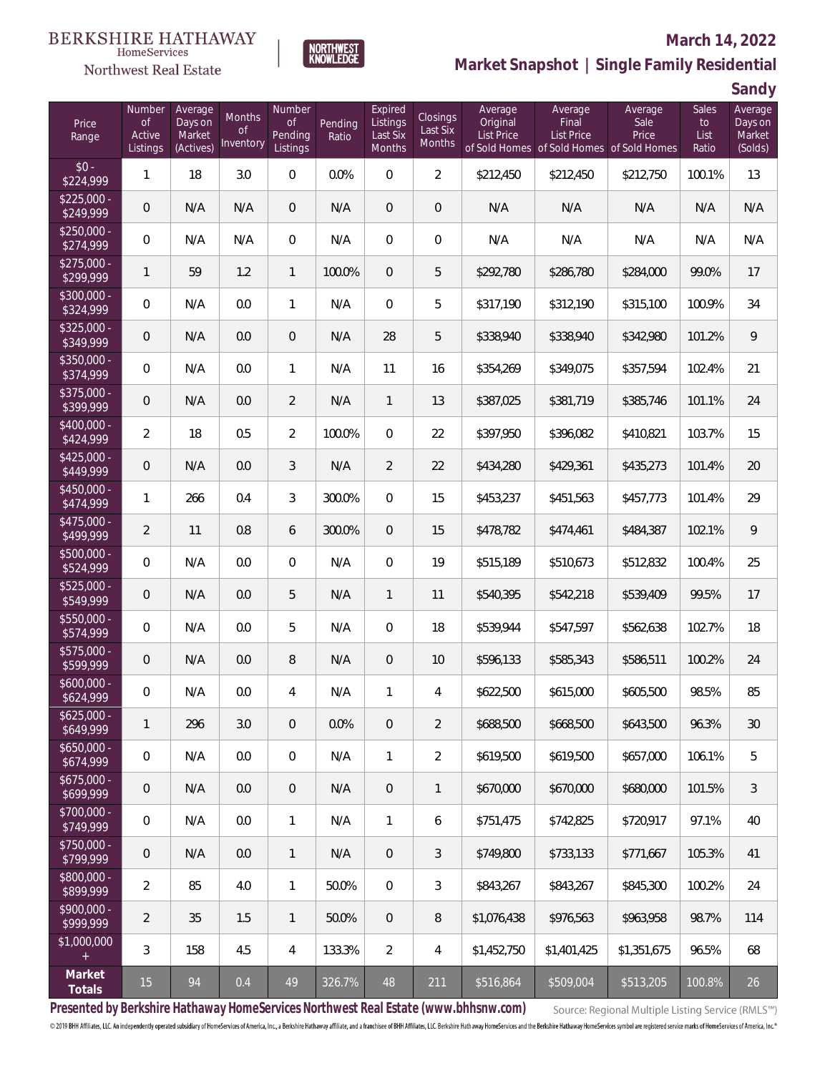# $\begin{array}{ll} \textrm{BERKSHIRE HATHAWAY} \\ \hspace*{0.2cm} \textcolor{red}{\textbf{Home} \textbf{Service}} \end{array}$



#### **March 14, 2022**



**Sandy**

| Price<br>Range            | Number<br><b>of</b><br>Active<br>Listings | Average<br>Days on<br>Market<br>(Actives) | Months<br><b>of</b><br>Inventory | Number<br><b>of</b><br>Pending<br>Listings | Pending<br>Ratio | Expired<br>Listings<br>Last Six<br>Months | Closings<br>Last Six<br>Months | Average<br>Original<br><b>List Price</b> | Average<br>Final<br><b>List Price</b><br>of Sold Homes of Sold Homes of Sold Homes | Average<br>Sale<br>Price | <b>Sales</b><br>to<br>List<br>Ratio | ┘<br>Average<br>Days on<br>Market<br>(Solds) |
|---------------------------|-------------------------------------------|-------------------------------------------|----------------------------------|--------------------------------------------|------------------|-------------------------------------------|--------------------------------|------------------------------------------|------------------------------------------------------------------------------------|--------------------------|-------------------------------------|----------------------------------------------|
| $$0 -$<br>\$224,999       | 1                                         | 18                                        | 3.0                              | $\mathbf 0$                                | 0.0%             | $\mathbf 0$                               | $\overline{2}$                 | \$212,450                                | \$212,450                                                                          | \$212,750                | 100.1%                              | 13                                           |
| $$225,000 -$<br>\$249,999 | 0                                         | N/A                                       | N/A                              | $\overline{0}$                             | N/A              | $\overline{0}$                            | $\mathbf 0$                    | N/A                                      | N/A                                                                                | N/A                      | N/A                                 | N/A                                          |
| $$250,000 -$<br>\$274,999 | $\overline{0}$                            | N/A                                       | N/A                              | $\overline{0}$                             | N/A              | $\overline{0}$                            | $\mathbf 0$                    | N/A                                      | N/A                                                                                | N/A                      | N/A                                 | N/A                                          |
| $$275,000 -$<br>\$299,999 | $\mathbf{1}$                              | 59                                        | 1.2                              | $\mathbf{1}$                               | 100.0%           | $\mathbf{0}$                              | 5                              | \$292,780                                | \$286,780                                                                          | \$284,000                | 99.0%                               | 17                                           |
| $$300,000 -$<br>\$324,999 | $\overline{0}$                            | N/A                                       | 0.0                              | $\mathbf{1}$                               | N/A              | $\overline{0}$                            | 5                              | \$317,190                                | \$312,190                                                                          | \$315,100                | 100.9%                              | 34                                           |
| $$325,000 -$<br>\$349,999 | $\overline{0}$                            | N/A                                       | 0.0                              | $\overline{0}$                             | N/A              | 28                                        | 5                              | \$338,940                                | \$338,940                                                                          | \$342,980                | 101.2%                              | 9                                            |
| \$350,000 -<br>\$374,999  | $\overline{0}$                            | N/A                                       | 0.0                              | $\mathbf{1}$                               | N/A              | 11                                        | 16                             | \$354,269                                | \$349,075                                                                          | \$357,594                | 102.4%                              | 21                                           |
| $$375,000 -$<br>\$399,999 | 0                                         | N/A                                       | 0.0                              | $\overline{2}$                             | N/A              | $\mathbf{1}$                              | 13                             | \$387,025                                | \$381,719                                                                          | \$385,746                | 101.1%                              | 24                                           |
| $$400,000 -$<br>\$424,999 | $\overline{2}$                            | 18                                        | 0.5                              | $\overline{2}$                             | 100.0%           | $\mathbf{0}$                              | 22                             | \$397,950                                | \$396,082                                                                          | \$410,821                | 103.7%                              | 15                                           |
| $$425,000 -$<br>\$449,999 | 0                                         | N/A                                       | 0.0                              | 3                                          | N/A              | $\overline{2}$                            | 22                             | \$434,280                                | \$429,361                                                                          | \$435,273                | 101.4%                              | $20\,$                                       |
| $$450,000 -$<br>\$474,999 | 1                                         | 266                                       | 0.4                              | 3                                          | 300.0%           | $\mathbf{0}$                              | 15                             | \$453,237                                | \$451,563                                                                          | \$457,773                | 101.4%                              | 29                                           |
| $$475,000 -$<br>\$499,999 | $\overline{2}$                            | 11                                        | 0.8                              | 6                                          | 300.0%           | $\overline{0}$                            | 15                             | \$478,782                                | \$474,461                                                                          | \$484,387                | 102.1%                              | 9                                            |
| \$500,000 -<br>\$524,999  | $\mathsf{O}\xspace$                       | N/A                                       | 0.0                              | $\overline{0}$                             | N/A              | $\overline{0}$                            | 19                             | \$515,189                                | \$510,673                                                                          | \$512,832                | 100.4%                              | 25                                           |
| \$525,000 -<br>\$549,999  | 0                                         | N/A                                       | 0.0                              | 5                                          | N/A              | $\mathbf{1}$                              | 11                             | \$540,395                                | \$542,218                                                                          | \$539,409                | 99.5%                               | 17                                           |
| \$550,000 -<br>\$574,999  | $\mathsf{O}\xspace$                       | N/A                                       | 0.0                              | 5                                          | N/A              | $\overline{0}$                            | 18                             | \$539,944                                | \$547,597                                                                          | \$562,638                | 102.7%                              | 18                                           |
| \$575,000 -<br>\$599,999  | 0                                         | N/A                                       | 0.0                              | 8                                          | N/A              | $\mathbf{0}$                              | 10                             | \$596,133                                | \$585,343                                                                          | \$586,511                | 100.2%                              | 24                                           |
| $$600,000 -$<br>\$624,999 | 0                                         | N/A                                       | $0.0\,$                          | 4                                          | N/A              | $\mathbf{1}$                              | 4                              | \$622,500                                | \$615,000                                                                          | \$605,500                | 98.5%                               | 85                                           |
| $$625,000 -$<br>\$649,999 | 1                                         | 296                                       | 3.0                              | $\mathbf 0$                                | 0.0%             | $\mathbf 0$                               | $\overline{2}$                 | \$688,500                                | \$668,500                                                                          | \$643,500                | 96.3%                               | 30                                           |
| $$650,000 -$<br>\$674,999 | $\mathbf 0$                               | N/A                                       | 0.0                              | $\mathbf 0$                                | N/A              | $\mathbf{1}$                              | $\overline{2}$                 | \$619,500                                | \$619,500                                                                          | \$657,000                | 106.1%                              | 5                                            |
| $$675,000 -$<br>\$699,999 | $\theta$                                  | N/A                                       | 0.0                              | $\overline{0}$                             | N/A              | $\overline{0}$                            | $\mathbf{1}$                   | \$670,000                                | \$670,000                                                                          | \$680,000                | 101.5%                              | 3                                            |
| \$700,000 -<br>\$749,999  | $\mathbf 0$                               | N/A                                       | 0.0                              | $\mathbf{1}$                               | N/A              | $\mathbf{1}$                              | 6                              | \$751,475                                | \$742,825                                                                          | \$720,917                | 97.1%                               | 40                                           |
| \$750,000 -<br>\$799,999  | $\theta$                                  | N/A                                       | 0.0                              | $\mathbf{1}$                               | N/A              | $\overline{0}$                            | 3                              | \$749,800                                | \$733,133                                                                          | \$771,667                | 105.3%                              | 41                                           |
| \$800,000 -<br>\$899,999  | $\overline{2}$                            | 85                                        | 4.0                              | $\mathbf{1}$                               | 50.0%            | $\overline{0}$                            | 3                              | \$843,267                                | \$843,267                                                                          | \$845,300                | 100.2%                              | 24                                           |
| \$900,000 -<br>\$999,999  | $\overline{2}$                            | 35                                        | 1.5                              | $\mathbf{1}$                               | 50.0%            | $\overline{0}$                            | 8                              | \$1,076,438                              | \$976,563                                                                          | \$963,958                | 98.7%                               | 114                                          |
| \$1,000,000<br>$+$        | 3                                         | 158                                       | 4.5                              | 4                                          | 133.3%           | $\overline{2}$                            | 4                              | \$1,452,750                              | \$1,401,425                                                                        | \$1,351,675              | 96.5%                               | 68                                           |
| Market<br>Totals          | 15                                        | 94                                        | 0.4                              | 49                                         | 326.7%           | 48                                        | 211                            | \$516,864                                | \$509,004                                                                          | \$513,205                | 100.8%                              | 26                                           |

**NORTHWEST**<br>KNOWLEDGE

**Presented by Berkshire Hathaway HomeServices Northwest Real Estate (www.bhhsnw.com)**

Source: Regional Multiple Listing Service (RMLS™)